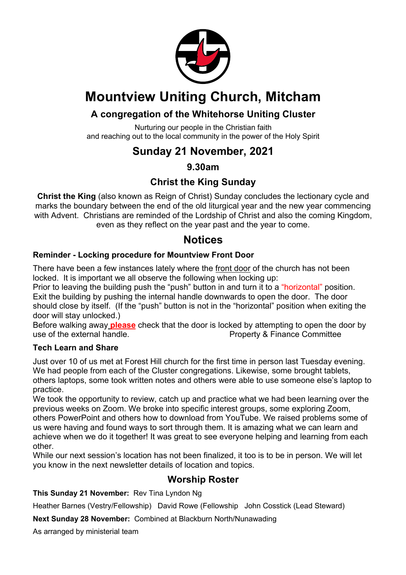

# **Mountview Uniting Church, Mitcham**

## **A congregation of the Whitehorse Uniting Cluster**

Nurturing our people in the Christian faith and reaching out to the local community in the power of the Holy Spirit

## **Sunday 21 November, 2021**

### **9.30am**

## **Christ the King Sunday**

**Christ the King** (also known as Reign of Christ) Sunday concludes the lectionary cycle and marks the boundary between the end of the old liturgical year and the new year commencing with Advent. Christians are reminded of the Lordship of Christ and also the coming Kingdom, even as they reflect on the year past and the year to come.

## **Notices**

#### **Reminder - Locking procedure for Mountview Front Door**

There have been a few instances lately where the front door of the church has not been locked. It is important we all observe the following when locking up:

Prior to leaving the building push the "push" button in and turn it to a "horizontal" position. Exit the building by pushing the internal handle downwards to open the door. The door should close by itself. (If the "push" button is not in the "horizontal" position when exiting the door will stay unlocked.)

Before walking away **please** check that the door is locked by attempting to open the door by use of the external handle. The external handle is a property & Finance Committee

#### **Tech Learn and Share**

Just over 10 of us met at Forest Hill church for the first time in person last Tuesday evening. We had people from each of the Cluster congregations. Likewise, some brought tablets, others laptops, some took written notes and others were able to use someone else's laptop to practice.

We took the opportunity to review, catch up and practice what we had been learning over the previous weeks on Zoom. We broke into specific interest groups, some exploring Zoom, others PowerPoint and others how to download from YouTube. We raised problems some of us were having and found ways to sort through them. It is amazing what we can learn and achieve when we do it together! It was great to see everyone helping and learning from each other.

While our next session's location has not been finalized, it too is to be in person. We will let you know in the next newsletter details of location and topics.

#### **Worship Roster**

#### **This Sunday 21 November:** Rev Tina Lyndon Ng

Heather Barnes (Vestry/Fellowship) David Rowe (Fellowship John Cosstick (Lead Steward)

**Next Sunday 28 November:** Combined at Blackburn North/Nunawading

As arranged by ministerial team